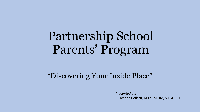# Partnership School Parents' Program

#### "Discovering Your Inside Place"

*Presented by:* Joseph Colletti, M.Ed, M.Div., S.T.M, CFT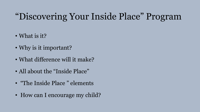#### "Discovering Your Inside Place" Program

- What is it?
- Why is it important?
- What difference will it make?
- All about the "Inside Place"
- "The Inside Place" elements
- How can I encourage my child?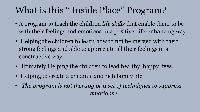### What is this " Inside Place" Program?

- A program to teach the children *life skills* that enable them to be with their feelings and emotions in a positive, life-enhancing way.
- Helping the children to learn how to not be merged with their strong feelings and able to appreciate all their feelings in a constructive way
- Ultimately Helping the children to lead healthy, happy lives.
- Helping to create a dynamic and rich family life.
- *The program is not therapy or a set of techniques to suppress emotions !*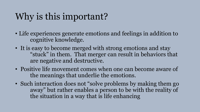### Why is this important?

- Life experiences generate emotions and feelings in addition to cognitive knowledge.
- It is easy to become merged with strong emotions and stay "stuck" in them. That merger can result in behaviors that are negative and destructive.
- Positive life movement comes when one can become aware of the meanings that underlie the emotions.
- Such interaction does not "solve problems by making them go away" but rather enables a person to be with the reality of the situation in a way that is life enhancing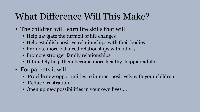### What Difference Will This Make?

- The children will learn life skills that will:
	- Help navigate the turmoil of life changes
	- Help establish positive relationships with their bodies
	- Promote more balanced relationships with others
	- Promote stronger family relationships
	- Ultimately help them become more healthy, happier adults
- For parents it will:
	- Provide new opportunities to interact positively with your children
	- Reduce frustration !
	- Open up new possibilities in your own lives …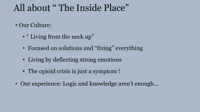#### All about " The Inside Place"

- Our Culture:
	- " Living from the neck up"
	- Focused on solutions and "fixing" everything
	- Living by deflecting strong emotions
	- The opioid crisis is just a symptom !
- Our experience: Logic and knowledge aren't enough…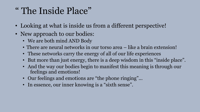#### " The Inside Place"

- Looking at what is inside us from a different perspective!
- New approach to our bodies:
	- We are both mind AND Body
	- There are neural networks in our torso area like a brain extension!
	- These networks carry the energy of all of our life experiences
	- But more than just energy, there is a deep wisdom in this "inside place".
	- And the way our bodies begin to manifest this meaning is through our feelings and emotions!
	- Our feelings and emotions are "the phone ringing"...
	- In essence, our inner knowing is a "sixth sense".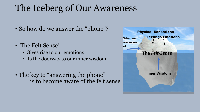#### The Iceberg of Our Awareness

- So how do we answer the "phone"?
- The Felt Sense!
	- Gives rise to our emotions
	- Is the doorway to our inner wisdom
- The key to "answering the phone" is to become aware of the felt sense

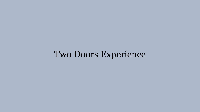#### Two Doors Experience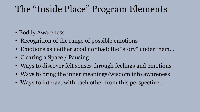#### The "Inside Place" Program Elements

- Bodily Awareness
- Recognition of the range of possible emotions
- Emotions as neither good nor bad: the "story" under them...
- Clearing a Space / Pausing
- Ways to discover felt senses through feelings and emotions
- Ways to bring the inner meanings/wisdom into awareness
- Ways to interact with each other from this perspective…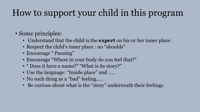## How to support your child in this program

#### • Some principles:

- Understand that the child is the **expert** on his or her inner place.
- Respect the child's inner place : no "shoulds"
- Encourage " Pausing"
- Encourage "Where in your body do you feel that?"
- " Does it have a name?" "What is its story?"
- Use the language: "Inside place" and .....
- No such thing as a "bad" feeling.....
- Be curious about what is the "story" underneath their feelings